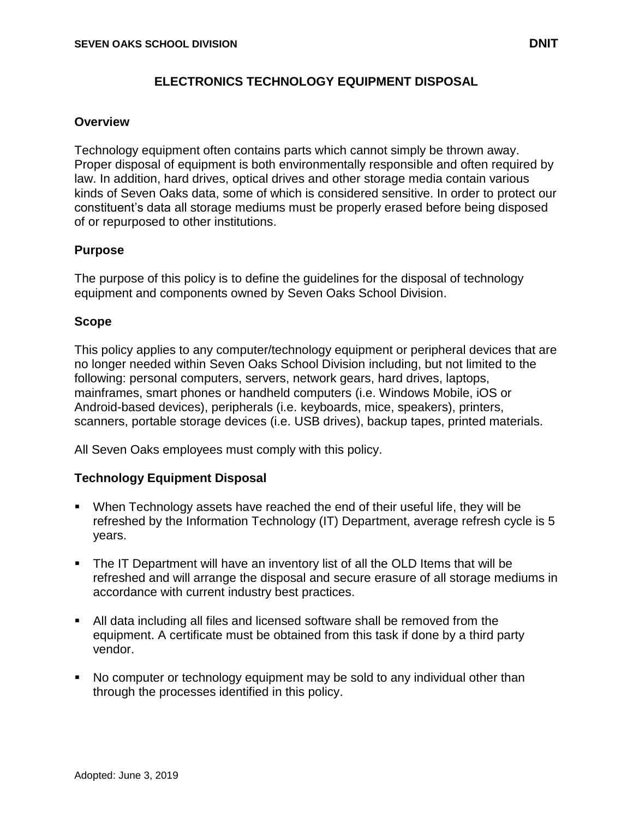# **Overview**

Technology equipment often contains parts which cannot simply be thrown away. Proper disposal of equipment is both environmentally responsible and often required by law. In addition, hard drives, optical drives and other storage media contain various kinds of Seven Oaks data, some of which is considered sensitive. In order to protect our constituent's data all storage mediums must be properly erased before being disposed of or repurposed to other institutions.

## **Purpose**

The purpose of this policy is to define the guidelines for the disposal of technology equipment and components owned by Seven Oaks School Division.

## **Scope**

This policy applies to any computer/technology equipment or peripheral devices that are no longer needed within Seven Oaks School Division including, but not limited to the following: personal computers, servers, network gears, hard drives, laptops, mainframes, smart phones or handheld computers (i.e. Windows Mobile, iOS or Android-based devices), peripherals (i.e. keyboards, mice, speakers), printers, scanners, portable storage devices (i.e. USB drives), backup tapes, printed materials.

All Seven Oaks employees must comply with this policy.

### **Technology Equipment Disposal**

- When Technology assets have reached the end of their useful life, they will be refreshed by the Information Technology (IT) Department, average refresh cycle is 5 years.
- The IT Department will have an inventory list of all the OLD Items that will be refreshed and will arrange the disposal and secure erasure of all storage mediums in accordance with current industry best practices.
- All data including all files and licensed software shall be removed from the equipment. A certificate must be obtained from this task if done by a third party vendor.
- No computer or technology equipment may be sold to any individual other than through the processes identified in this policy.